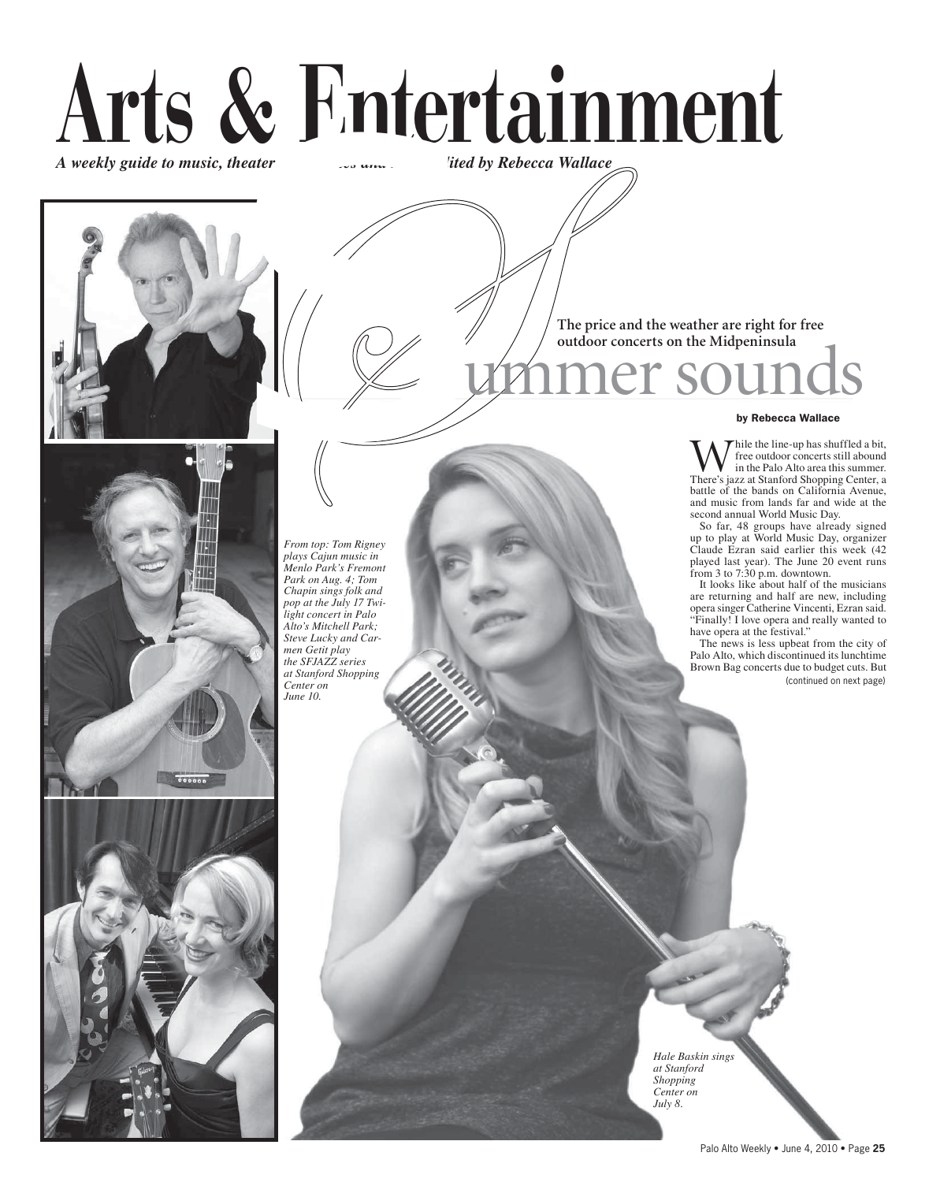# Arts & Entertainment "ted by Rebecca Wallace" A weekly guide to music, theater, r







The price and the weather are right for free outdoor concerts on the Midpeninsula

er sou

#### by Rebecca Wallace

hile the line-up has shuffled a bit, free outdoor concerts still abound in the Palo Alto area this summer. There's jazz at Stanford Shopping Center, a battle of the bands on California Avenue, and music from lands far and wide at the second annual World Music Day.

So far, 48 groups have already signed<br>up to play at World Music Day, organizer<br>Claude Ezran said earlier this week (42

Claude Ezran said earlier this week  $(42)$ <br>played last year). The June 20 event runs<br>from 3 to 7:30 p.m. downtown.<br>It looks like about half of the musicians<br>are returning and half are new, including<br>opera singer Catherine have opera at the festival."

The news is less upbeat from the city of Palo Alto, which discontinued its lunchtime Brown Bag concerts due to budget cuts. But (continued on next page)

From top: Tom Rigney plays Cajun music in Menlo Park's Fremont Park on Aug. 4; Tom Chapin sings folk and pop at the July 17 Twilight concert in Palo Alto's Mitchell Park; Steve Lucky and Carmen Getit play the SFJAZZ series at Stanford Shopping Center on June 10.

> Hale Baskin sings at Stanford Shopping Center on July 8.